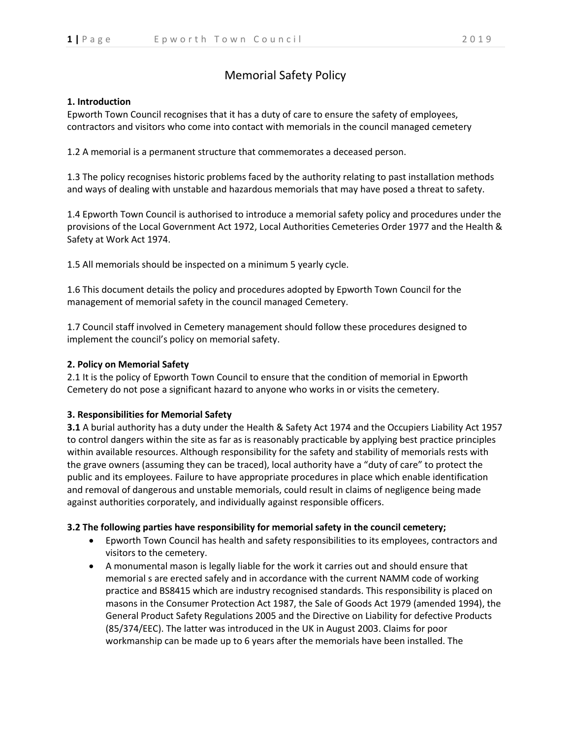# Memorial Safety Policy

## **1. Introduction**

Epworth Town Council recognises that it has a duty of care to ensure the safety of employees, contractors and visitors who come into contact with memorials in the council managed cemetery

1.2 A memorial is a permanent structure that commemorates a deceased person.

1.3 The policy recognises historic problems faced by the authority relating to past installation methods and ways of dealing with unstable and hazardous memorials that may have posed a threat to safety.

1.4 Epworth Town Council is authorised to introduce a memorial safety policy and procedures under the provisions of the Local Government Act 1972, Local Authorities Cemeteries Order 1977 and the Health & Safety at Work Act 1974.

1.5 All memorials should be inspected on a minimum 5 yearly cycle.

1.6 This document details the policy and procedures adopted by Epworth Town Council for the management of memorial safety in the council managed Cemetery.

1.7 Council staff involved in Cemetery management should follow these procedures designed to implement the council's policy on memorial safety.

## **2. Policy on Memorial Safety**

2.1 It is the policy of Epworth Town Council to ensure that the condition of memorial in Epworth Cemetery do not pose a significant hazard to anyone who works in or visits the cemetery.

### **3. Responsibilities for Memorial Safety**

**3.1** A burial authority has a duty under the Health & Safety Act 1974 and the Occupiers Liability Act 1957 to control dangers within the site as far as is reasonably practicable by applying best practice principles within available resources. Although responsibility for the safety and stability of memorials rests with the grave owners (assuming they can be traced), local authority have a "duty of care" to protect the public and its employees. Failure to have appropriate procedures in place which enable identification and removal of dangerous and unstable memorials, could result in claims of negligence being made against authorities corporately, and individually against responsible officers.

### **3.2 The following parties have responsibility for memorial safety in the council cemetery;**

- Epworth Town Council has health and safety responsibilities to its employees, contractors and visitors to the cemetery.
- A monumental mason is legally liable for the work it carries out and should ensure that memorial s are erected safely and in accordance with the current NAMM code of working practice and BS8415 which are industry recognised standards. This responsibility is placed on masons in the Consumer Protection Act 1987, the Sale of Goods Act 1979 (amended 1994), the General Product Safety Regulations 2005 and the Directive on Liability for defective Products (85/374/EEC). The latter was introduced in the UK in August 2003. Claims for poor workmanship can be made up to 6 years after the memorials have been installed. The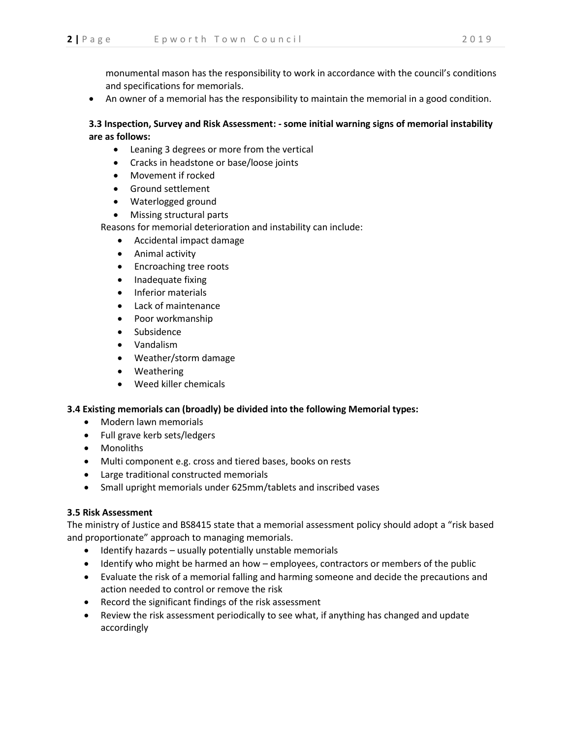monumental mason has the responsibility to work in accordance with the council's conditions and specifications for memorials.

An owner of a memorial has the responsibility to maintain the memorial in a good condition.

# **3.3 Inspection, Survey and Risk Assessment: - some initial warning signs of memorial instability are as follows:**

- Leaning 3 degrees or more from the vertical
- Cracks in headstone or base/loose joints
- Movement if rocked
- Ground settlement
- Waterlogged ground
- Missing structural parts

Reasons for memorial deterioration and instability can include:

- Accidental impact damage
- Animal activity
- Encroaching tree roots
- Inadequate fixing
- Inferior materials
- Lack of maintenance
- Poor workmanship
- Subsidence
- Vandalism
- Weather/storm damage
- Weathering
- Weed killer chemicals

### **3.4 Existing memorials can (broadly) be divided into the following Memorial types:**

- Modern lawn memorials
- Full grave kerb sets/ledgers
- Monoliths
- Multi component e.g. cross and tiered bases, books on rests
- Large traditional constructed memorials
- Small upright memorials under 625mm/tablets and inscribed vases

### **3.5 Risk Assessment**

The ministry of Justice and BS8415 state that a memorial assessment policy should adopt a "risk based and proportionate" approach to managing memorials.

- Identify hazards usually potentially unstable memorials
- Identify who might be harmed an how employees, contractors or members of the public
- Evaluate the risk of a memorial falling and harming someone and decide the precautions and action needed to control or remove the risk
- Record the significant findings of the risk assessment
- Review the risk assessment periodically to see what, if anything has changed and update accordingly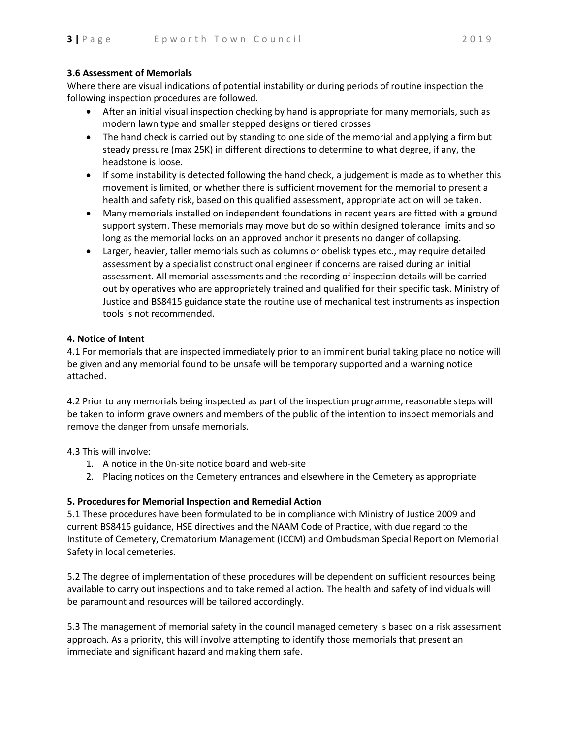## **3.6 Assessment of Memorials**

Where there are visual indications of potential instability or during periods of routine inspection the following inspection procedures are followed.

- After an initial visual inspection checking by hand is appropriate for many memorials, such as modern lawn type and smaller stepped designs or tiered crosses
- The hand check is carried out by standing to one side of the memorial and applying a firm but steady pressure (max 25K) in different directions to determine to what degree, if any, the headstone is loose.
- If some instability is detected following the hand check, a judgement is made as to whether this movement is limited, or whether there is sufficient movement for the memorial to present a health and safety risk, based on this qualified assessment, appropriate action will be taken.
- Many memorials installed on independent foundations in recent years are fitted with a ground support system. These memorials may move but do so within designed tolerance limits and so long as the memorial locks on an approved anchor it presents no danger of collapsing.
- Larger, heavier, taller memorials such as columns or obelisk types etc., may require detailed assessment by a specialist constructional engineer if concerns are raised during an initial assessment. All memorial assessments and the recording of inspection details will be carried out by operatives who are appropriately trained and qualified for their specific task. Ministry of Justice and BS8415 guidance state the routine use of mechanical test instruments as inspection tools is not recommended.

## **4. Notice of Intent**

4.1 For memorials that are inspected immediately prior to an imminent burial taking place no notice will be given and any memorial found to be unsafe will be temporary supported and a warning notice attached.

4.2 Prior to any memorials being inspected as part of the inspection programme, reasonable steps will be taken to inform grave owners and members of the public of the intention to inspect memorials and remove the danger from unsafe memorials.

4.3 This will involve:

- 1. A notice in the 0n-site notice board and web-site
- 2. Placing notices on the Cemetery entrances and elsewhere in the Cemetery as appropriate

### **5. Procedures for Memorial Inspection and Remedial Action**

5.1 These procedures have been formulated to be in compliance with Ministry of Justice 2009 and current BS8415 guidance, HSE directives and the NAAM Code of Practice, with due regard to the Institute of Cemetery, Crematorium Management (ICCM) and Ombudsman Special Report on Memorial Safety in local cemeteries.

5.2 The degree of implementation of these procedures will be dependent on sufficient resources being available to carry out inspections and to take remedial action. The health and safety of individuals will be paramount and resources will be tailored accordingly.

5.3 The management of memorial safety in the council managed cemetery is based on a risk assessment approach. As a priority, this will involve attempting to identify those memorials that present an immediate and significant hazard and making them safe.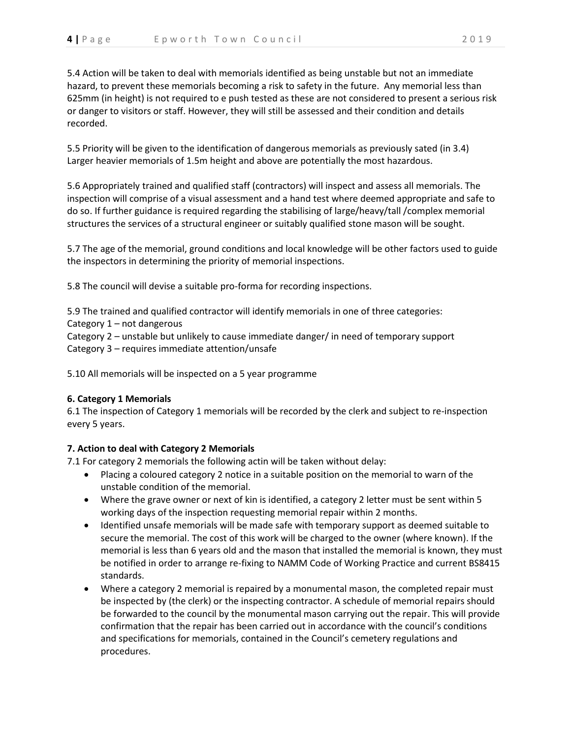5.4 Action will be taken to deal with memorials identified as being unstable but not an immediate hazard, to prevent these memorials becoming a risk to safety in the future. Any memorial less than 625mm (in height) is not required to e push tested as these are not considered to present a serious risk or danger to visitors or staff. However, they will still be assessed and their condition and details recorded.

5.5 Priority will be given to the identification of dangerous memorials as previously sated (in 3.4) Larger heavier memorials of 1.5m height and above are potentially the most hazardous.

5.6 Appropriately trained and qualified staff (contractors) will inspect and assess all memorials. The inspection will comprise of a visual assessment and a hand test where deemed appropriate and safe to do so. If further guidance is required regarding the stabilising of large/heavy/tall /complex memorial structures the services of a structural engineer or suitably qualified stone mason will be sought.

5.7 The age of the memorial, ground conditions and local knowledge will be other factors used to guide the inspectors in determining the priority of memorial inspections.

5.8 The council will devise a suitable pro-forma for recording inspections.

5.9 The trained and qualified contractor will identify memorials in one of three categories: Category 1 – not dangerous Category 2 – unstable but unlikely to cause immediate danger/ in need of temporary support Category 3 – requires immediate attention/unsafe

5.10 All memorials will be inspected on a 5 year programme

# **6. Category 1 Memorials**

6.1 The inspection of Category 1 memorials will be recorded by the clerk and subject to re-inspection every 5 years.

# **7. Action to deal with Category 2 Memorials**

7.1 For category 2 memorials the following actin will be taken without delay:

- Placing a coloured category 2 notice in a suitable position on the memorial to warn of the unstable condition of the memorial.
- Where the grave owner or next of kin is identified, a category 2 letter must be sent within 5 working days of the inspection requesting memorial repair within 2 months.
- Identified unsafe memorials will be made safe with temporary support as deemed suitable to secure the memorial. The cost of this work will be charged to the owner (where known). If the memorial is less than 6 years old and the mason that installed the memorial is known, they must be notified in order to arrange re-fixing to NAMM Code of Working Practice and current BS8415 standards.
- Where a category 2 memorial is repaired by a monumental mason, the completed repair must be inspected by (the clerk) or the inspecting contractor. A schedule of memorial repairs should be forwarded to the council by the monumental mason carrying out the repair. This will provide confirmation that the repair has been carried out in accordance with the council's conditions and specifications for memorials, contained in the Council's cemetery regulations and procedures.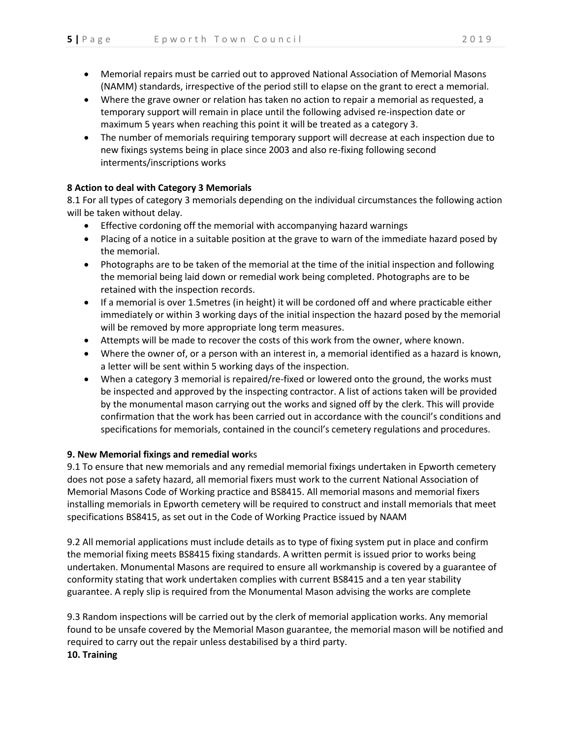- Memorial repairs must be carried out to approved National Association of Memorial Masons (NAMM) standards, irrespective of the period still to elapse on the grant to erect a memorial.
- Where the grave owner or relation has taken no action to repair a memorial as requested, a temporary support will remain in place until the following advised re-inspection date or maximum 5 years when reaching this point it will be treated as a category 3.
- The number of memorials requiring temporary support will decrease at each inspection due to new fixings systems being in place since 2003 and also re-fixing following second interments/inscriptions works

# **8 Action to deal with Category 3 Memorials**

8.1 For all types of category 3 memorials depending on the individual circumstances the following action will be taken without delay.

- Effective cordoning off the memorial with accompanying hazard warnings
- Placing of a notice in a suitable position at the grave to warn of the immediate hazard posed by the memorial.
- Photographs are to be taken of the memorial at the time of the initial inspection and following the memorial being laid down or remedial work being completed. Photographs are to be retained with the inspection records.
- If a memorial is over 1.5metres (in height) it will be cordoned off and where practicable either immediately or within 3 working days of the initial inspection the hazard posed by the memorial will be removed by more appropriate long term measures.
- Attempts will be made to recover the costs of this work from the owner, where known.
- Where the owner of, or a person with an interest in, a memorial identified as a hazard is known, a letter will be sent within 5 working days of the inspection.
- When a category 3 memorial is repaired/re-fixed or lowered onto the ground, the works must be inspected and approved by the inspecting contractor. A list of actions taken will be provided by the monumental mason carrying out the works and signed off by the clerk. This will provide confirmation that the work has been carried out in accordance with the council's conditions and specifications for memorials, contained in the council's cemetery regulations and procedures.

# **9. New Memorial fixings and remedial wor**ks

9.1 To ensure that new memorials and any remedial memorial fixings undertaken in Epworth cemetery does not pose a safety hazard, all memorial fixers must work to the current National Association of Memorial Masons Code of Working practice and BS8415. All memorial masons and memorial fixers installing memorials in Epworth cemetery will be required to construct and install memorials that meet specifications BS8415, as set out in the Code of Working Practice issued by NAAM

9.2 All memorial applications must include details as to type of fixing system put in place and confirm the memorial fixing meets BS8415 fixing standards. A written permit is issued prior to works being undertaken. Monumental Masons are required to ensure all workmanship is covered by a guarantee of conformity stating that work undertaken complies with current BS8415 and a ten year stability guarantee. A reply slip is required from the Monumental Mason advising the works are complete

9.3 Random inspections will be carried out by the clerk of memorial application works. Any memorial found to be unsafe covered by the Memorial Mason guarantee, the memorial mason will be notified and required to carry out the repair unless destabilised by a third party. **10. Training**